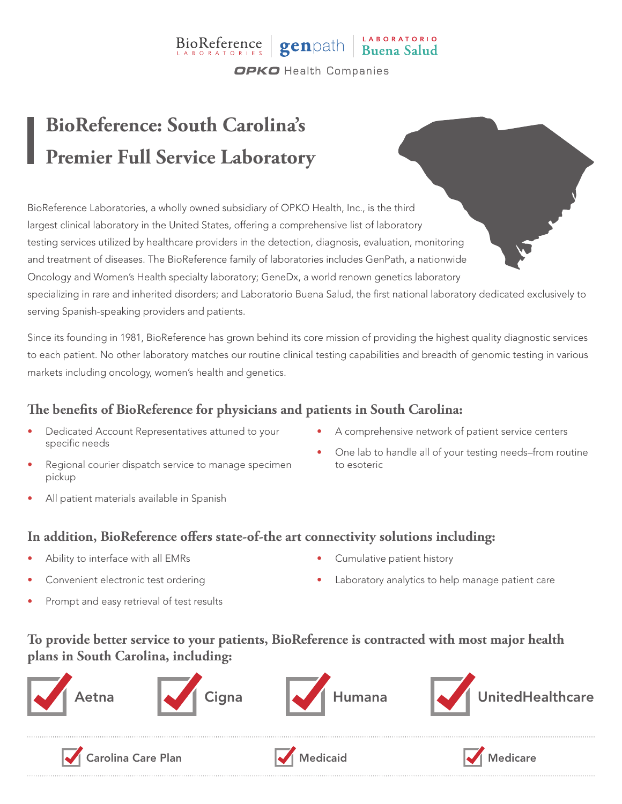### BioReference genpath Buena Salud **OPKO** Health Companies

# **BioReference: South Carolina's Premier Full Service Laboratory**

BioReference Laboratories, a wholly owned subsidiary of OPKO Health, Inc., is the third largest clinical laboratory in the United States, offering a comprehensive list of laboratory testing services utilized by healthcare providers in the detection, diagnosis, evaluation, monitoring and treatment of diseases. The BioReference family of laboratories includes GenPath, a nationwide Oncology and Women's Health specialty laboratory; GeneDx, a world renown genetics laboratory specializing in rare and inherited disorders; and Laboratorio Buena Salud, the first national laboratory dedicated exclusively to serving Spanish-speaking providers and patients.

Since its founding in 1981, BioReference has grown behind its core mission of providing the highest quality diagnostic services to each patient. No other laboratory matches our routine clinical testing capabilities and breadth of genomic testing in various markets including oncology, women's health and genetics.

### **The benefits of BioReference for physicians and patients in South Carolina:**

- Dedicated Account Representatives attuned to your specific needs
- Regional courier dispatch service to manage specimen pickup
- All patient materials available in Spanish
- A comprehensive network of patient service centers
- One lab to handle all of your testing needs–from routine to esoteric

#### **In addition, BioReference offers state-of-the art connectivity solutions including:**

- Ability to interface with all EMRs
- Convenient electronic test ordering
- Prompt and easy retrieval of test results
- Cumulative patient history
- Laboratory analytics to help manage patient care

#### **To provide better service to your patients, BioReference is contracted with most major health plans in South Carolina, including:**